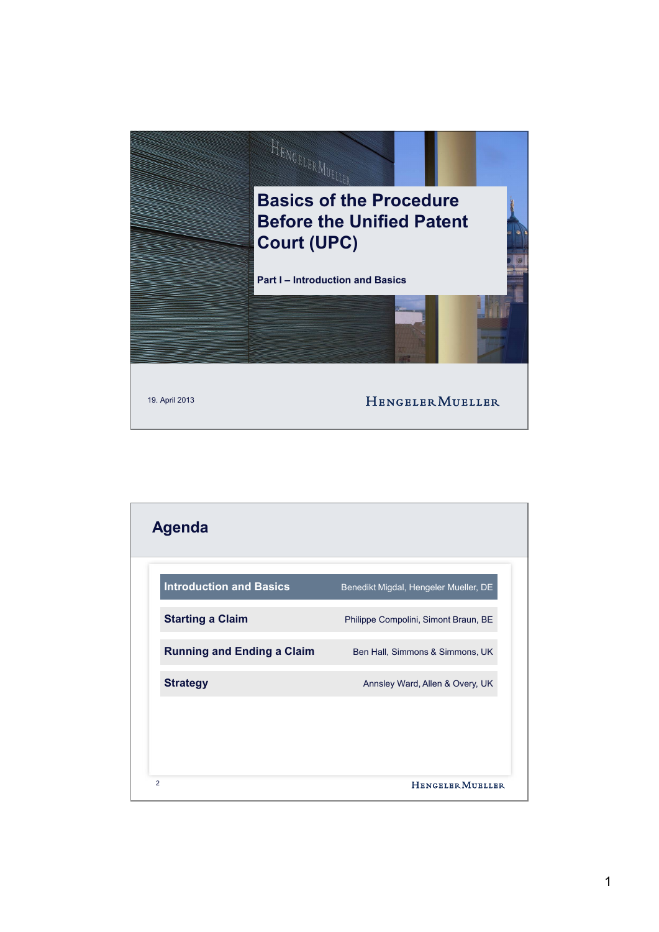

| <b>Introduction and Basics</b>    | Benedikt Migdal, Hengeler Mueller, DE |
|-----------------------------------|---------------------------------------|
| <b>Starting a Claim</b>           | Philippe Compolini, Simont Braun, BE  |
| <b>Running and Ending a Claim</b> | Ben Hall, Simmons & Simmons, UK       |
| <b>Strategy</b>                   | Annsley Ward, Allen & Overy, UK       |
|                                   |                                       |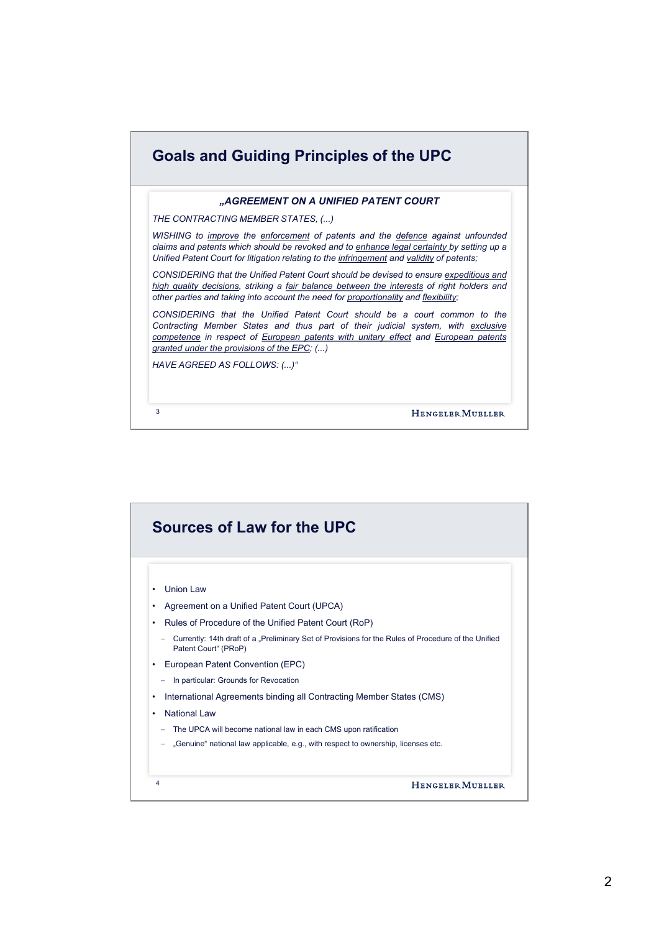| <b>Goals and Guiding Principles of the UPC</b>                                                                                                                                                                                                                                                       |  |  |
|------------------------------------------------------------------------------------------------------------------------------------------------------------------------------------------------------------------------------------------------------------------------------------------------------|--|--|
| "AGREEMENT ON A UNIFIED PATENT COURT                                                                                                                                                                                                                                                                 |  |  |
| THE CONTRACTING MEMBER STATES, ()                                                                                                                                                                                                                                                                    |  |  |
| WISHING to <i>improve</i> the enforcement of patents and the defence against unfounded<br>claims and patents which should be revoked and to enhance legal certainty by setting up a<br>Unified Patent Court for litigation relating to the infringement and validity of patents;                     |  |  |
| CONSIDERING that the Unified Patent Court should be devised to ensure expeditious and<br>high quality decisions, striking a fair balance between the interests of right holders and<br>other parties and taking into account the need for proportionality and flexibility;                           |  |  |
| CONSIDERING that the Unified Patent Court should be a court common to the<br>Contracting Member States and thus part of their judicial system, with exclusive<br>competence in respect of European patents with unitary effect and European patents<br>granted under the provisions of the EPC; $()$ |  |  |
| HAVE AGREED AS FOLLOWS: ()"                                                                                                                                                                                                                                                                          |  |  |
| 3<br><b>HENGELER MURLLER</b>                                                                                                                                                                                                                                                                         |  |  |

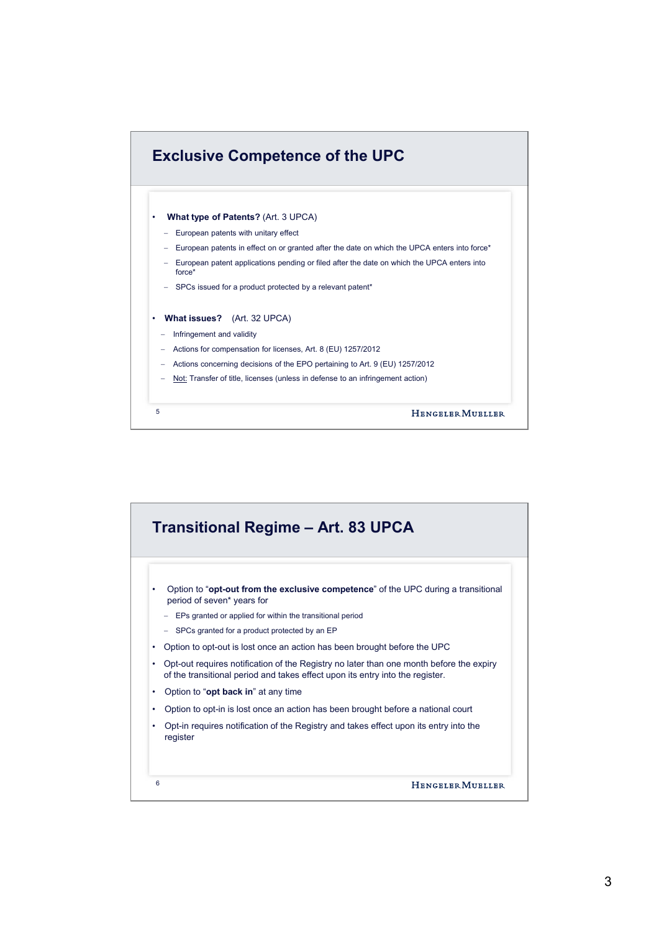

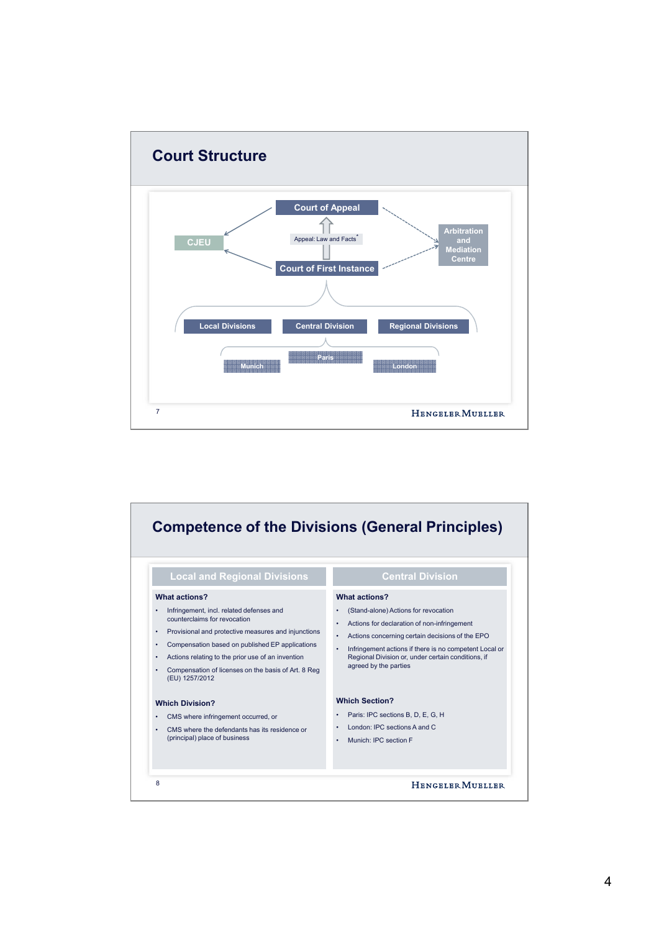

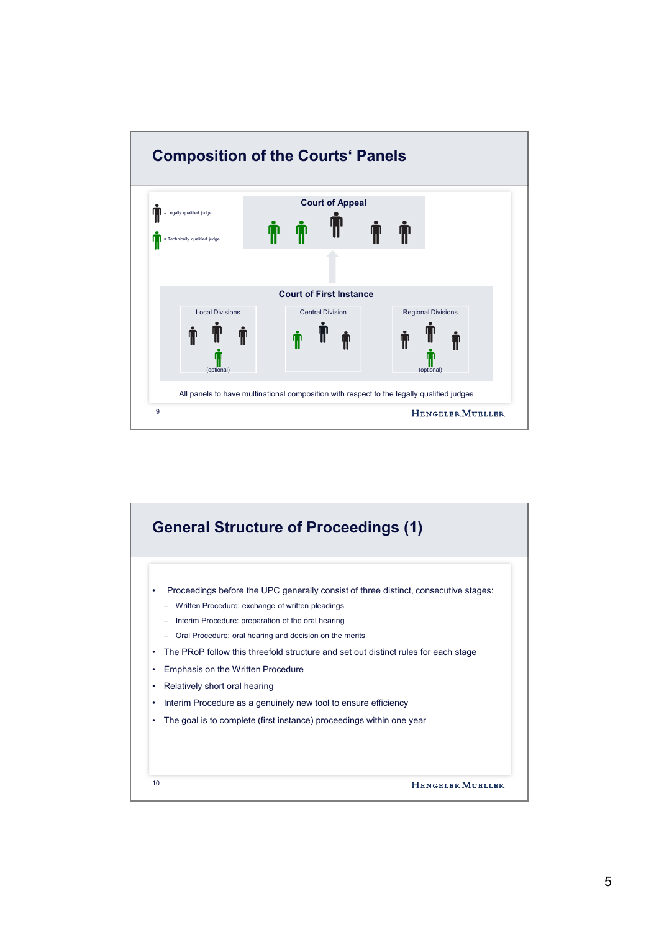

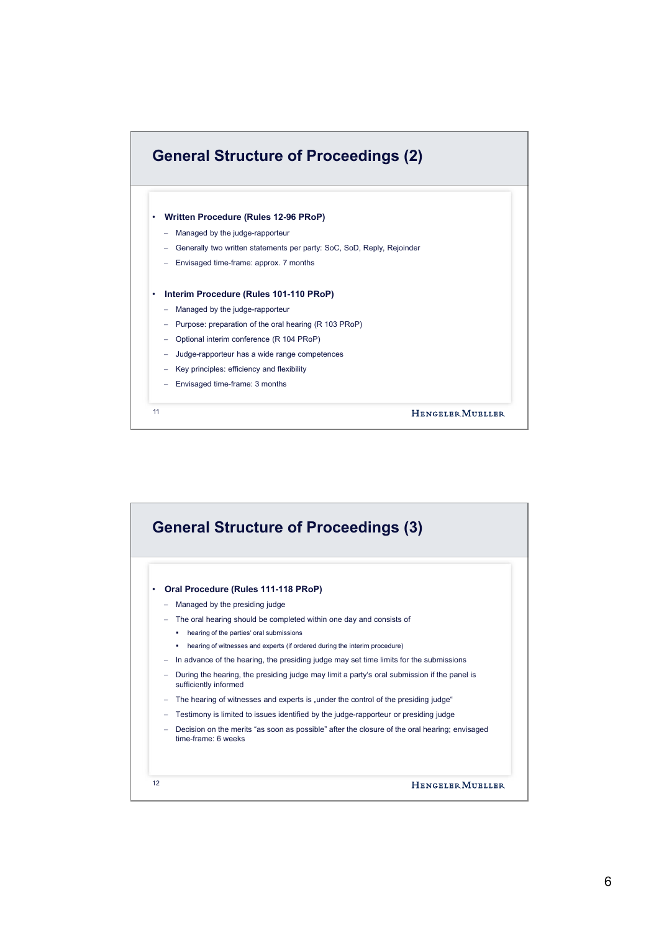